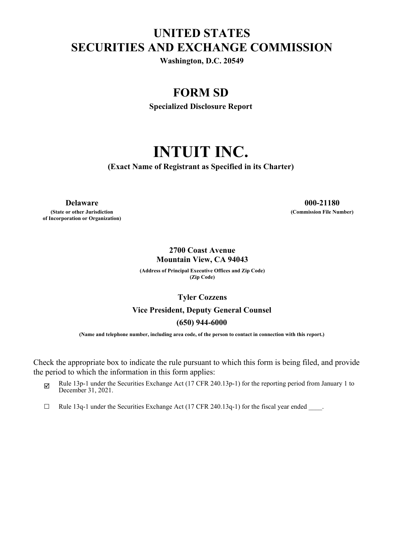## **UNITED STATES SECURITIES AND EXCHANGE COMMISSION**

**Washington, D.C. 20549**

### **FORM SD**

**Specialized Disclosure Report**

# **INTUIT INC.**

**(Exact Name of Registrant as Specified in its Charter)**

**(State or other Jurisdiction of Incorporation or Organization)**

**Delaware 000-21180 (Commission File Number)**

#### **2700 Coast Avenue Mountain View, CA 94043**

**(Address of Principal Executive Offices and Zip Code) (Zip Code)**

**Tyler Cozzens**

#### **Vice President, Deputy General Counsel**

#### **(650) 944-6000**

**(Name and telephone number, including area code, of the person to contact in connection with this report.)**

Check the appropriate box to indicate the rule pursuant to which this form is being filed, and provide the period to which the information in this form applies:

- $\boxtimes$  Rule 13p-1 under the Securities Exchange Act (17 CFR 240.13p-1) for the reporting period from January 1 to December 31, 2021.
- $\Box$  Rule 13q-1 under the Securities Exchange Act (17 CFR 240.13q-1) for the fiscal year ended  $\Box$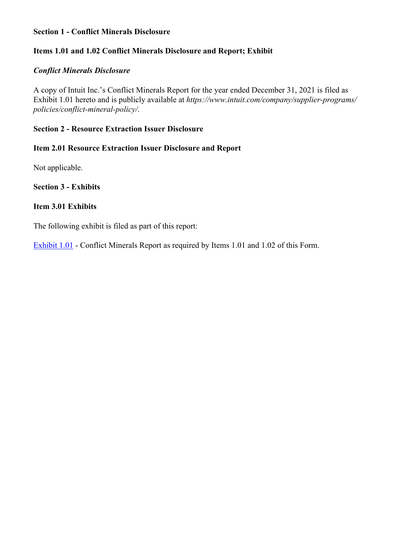#### **Section 1 - Conflict Minerals Disclosure**

#### **Items 1.01 and 1.02 Conflict Minerals Disclosure and Report; Exhibit**

#### *Conflict Minerals Disclosure*

A copy of Intuit Inc.'s Conflict Minerals Report for the year ended December 31, 2021 is filed as Exhibit 1.01 hereto and is publicly available at *https://www.intuit.com/company/supplier-programs/ policies/conflict-mineral-policy/*.

#### **Section 2 - Resource Extraction Issuer Disclosure**

#### **Item 2.01 Resource Extraction Issuer Disclosure and Report**

Not applicable.

#### **Section 3 - Exhibits**

#### **Item 3.01 Exhibits**

The following exhibit is filed as part of this report:

[Exhibit 1.01](#page-3-0) - Conflict Minerals Report as required by Items 1.01 and 1.02 of this Form.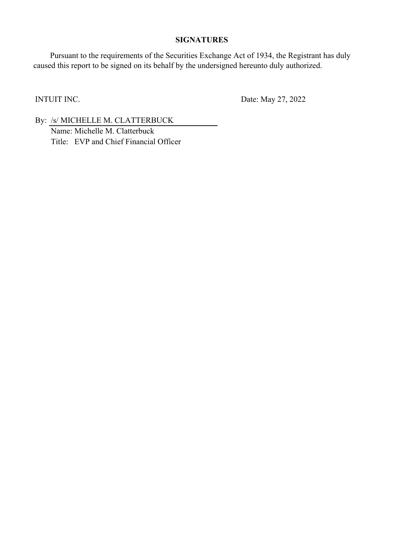#### **SIGNATURES**

Pursuant to the requirements of the Securities Exchange Act of 1934, the Registrant has duly caused this report to be signed on its behalf by the undersigned hereunto duly authorized.

INTUIT INC. Date: May 27, 2022

By: /s/ MICHELLE M. CLATTERBUCK Name: Michelle M. Clatterbuck Title: EVP and Chief Financial Officer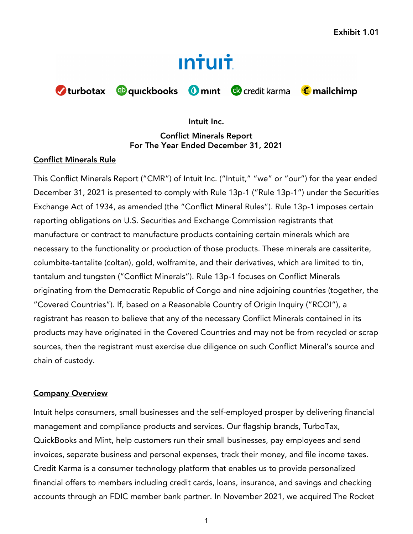# **Intuit**

<span id="page-3-0"></span>

#### **Intuit Inc.**

**Conflict Minerals Report For The Year Ended December 31, 2021**

#### **Conflict Minerals Rule**

This Conflict Minerals Report ("CMR") of Intuit Inc. ("Intuit," "we" or "our") for the year ended December 31, 2021 is presented to comply with Rule 13p-1 ("Rule 13p-1") under the Securities Exchange Act of 1934, as amended (the "Conflict Mineral Rules"). Rule 13p-1 imposes certain reporting obligations on U.S. Securities and Exchange Commission registrants that manufacture or contract to manufacture products containing certain minerals which are necessary to the functionality or production of those products. These minerals are cassiterite, columbite-tantalite (coltan), gold, wolframite, and their derivatives, which are limited to tin, tantalum and tungsten ("Conflict Minerals"). Rule 13p-1 focuses on Conflict Minerals originating from the Democratic Republic of Congo and nine adjoining countries (together, the "Covered Countries"). If, based on a Reasonable Country of Origin Inquiry ("RCOI"), a registrant has reason to believe that any of the necessary Conflict Minerals contained in its products may have originated in the Covered Countries and may not be from recycled or scrap sources, then the registrant must exercise due diligence on such Conflict Mineral's source and chain of custody.

#### **Company Overview**

Intuit helps consumers, small businesses and the self-employed prosper by delivering financial management and compliance products and services. Our flagship brands, TurboTax, QuickBooks and Mint, help customers run their small businesses, pay employees and send invoices, separate business and personal expenses, track their money, and file income taxes. Credit Karma is a consumer technology platform that enables us to provide personalized financial offers to members including credit cards, loans, insurance, and savings and checking accounts through an FDIC member bank partner. In November 2021, we acquired The Rocket

1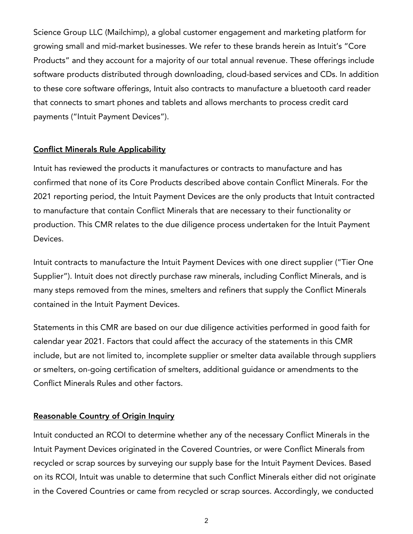Science Group LLC (Mailchimp), a global customer engagement and marketing platform for growing small and mid-market businesses. We refer to these brands herein as Intuit's "Core Products" and they account for a majority of our total annual revenue. These offerings include software products distributed through downloading, cloud-based services and CDs. In addition to these core software offerings, Intuit also contracts to manufacture a bluetooth card reader that connects to smart phones and tablets and allows merchants to process credit card payments ("Intuit Payment Devices").

#### **Conflict Minerals Rule Applicability**

Intuit has reviewed the products it manufactures or contracts to manufacture and has confirmed that none of its Core Products described above contain Conflict Minerals. For the 2021 reporting period, the Intuit Payment Devices are the only products that Intuit contracted to manufacture that contain Conflict Minerals that are necessary to their functionality or production. This CMR relates to the due diligence process undertaken for the Intuit Payment Devices.

Intuit contracts to manufacture the Intuit Payment Devices with one direct supplier ("Tier One Supplier"). Intuit does not directly purchase raw minerals, including Conflict Minerals, and is many steps removed from the mines, smelters and refiners that supply the Conflict Minerals contained in the Intuit Payment Devices.

Statements in this CMR are based on our due diligence activities performed in good faith for calendar year 2021. Factors that could affect the accuracy of the statements in this CMR include, but are not limited to, incomplete supplier or smelter data available through suppliers or smelters, on-going certification of smelters, additional guidance or amendments to the Conflict Minerals Rules and other factors.

#### **Reasonable Country of Origin Inquiry**

Intuit conducted an RCOI to determine whether any of the necessary Conflict Minerals in the Intuit Payment Devices originated in the Covered Countries, or were Conflict Minerals from recycled or scrap sources by surveying our supply base for the Intuit Payment Devices. Based on its RCOI, Intuit was unable to determine that such Conflict Minerals either did not originate in the Covered Countries or came from recycled or scrap sources. Accordingly, we conducted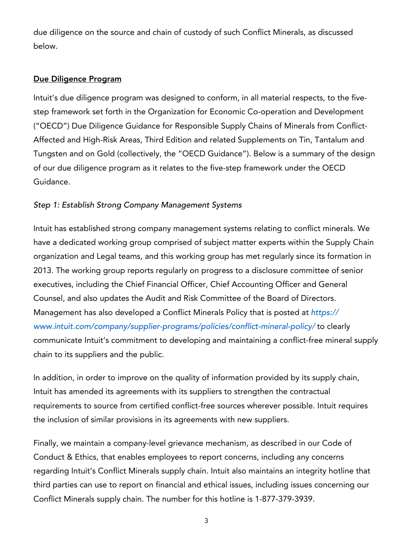due diligence on the source and chain of custody of such Conflict Minerals, as discussed below.

#### **Due Diligence Program**

Intuit's due diligence program was designed to conform, in all material respects, to the fivestep framework set forth in the Organization for Economic Co-operation and Development ("OECD") Due Diligence Guidance for Responsible Supply Chains of Minerals from Conflict-Affected and High-Risk Areas, Third Edition and related Supplements on Tin, Tantalum and Tungsten and on Gold (collectively, the "OECD Guidance"). Below is a summary of the design of our due diligence program as it relates to the five-step framework under the OECD Guidance.

#### *Step 1: Establish Strong Company Management Systems*

Intuit has established strong company management systems relating to conflict minerals. We have a dedicated working group comprised of subject matter experts within the Supply Chain organization and Legal teams, and this working group has met regularly since its formation in 2013. The working group reports regularly on progress to a disclosure committee of senior executives, including the Chief Financial Officer, Chief Accounting Officer and General Counsel, and also updates the Audit and Risk Committee of the Board of Directors. Management has also developed a Conflict Minerals Policy that is posted at *https:// www.intuit.com/company/supplier-programs/policies/conflict-mineral-policy/* to clearly communicate Intuit's commitment to developing and maintaining a conflict-free mineral supply chain to its suppliers and the public.

In addition, in order to improve on the quality of information provided by its supply chain, Intuit has amended its agreements with its suppliers to strengthen the contractual requirements to source from certified conflict-free sources wherever possible. Intuit requires the inclusion of similar provisions in its agreements with new suppliers.

Finally, we maintain a company-level grievance mechanism, as described in our Code of Conduct & Ethics, that enables employees to report concerns, including any concerns regarding Intuit's Conflict Minerals supply chain. Intuit also maintains an integrity hotline that third parties can use to report on financial and ethical issues, including issues concerning our Conflict Minerals supply chain. The number for this hotline is 1-877-379-3939.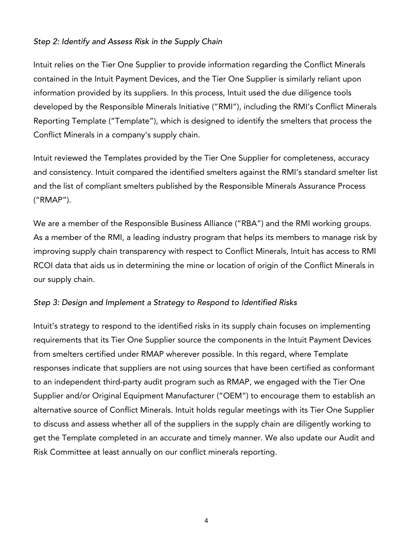#### *Step 2: Identify and Assess Risk in the Supply Chain*

Intuit relies on the Tier One Supplier to provide information regarding the Conflict Minerals contained in the Intuit Payment Devices, and the Tier One Supplier is similarly reliant upon information provided by its suppliers. In this process, Intuit used the due diligence tools developed by the Responsible Minerals Initiative ("RMI"), including the RMI's Conflict Minerals Reporting Template ("Template"), which is designed to identify the smelters that process the Conflict Minerals in a company's supply chain.

Intuit reviewed the Templates provided by the Tier One Supplier for completeness, accuracy and consistency. Intuit compared the identified smelters against the RMI's standard smelter list and the list of compliant smelters published by the Responsible Minerals Assurance Process ("RMAP").

We are a member of the Responsible Business Alliance ("RBA") and the RMI working groups. As a member of the RMI, a leading industry program that helps its members to manage risk by improving supply chain transparency with respect to Conflict Minerals, Intuit has access to RMI RCOI data that aids us in determining the mine or location of origin of the Conflict Minerals in our supply chain.

#### *Step 3: Design and Implement a Strategy to Respond to Identified Risks*

Intuit's strategy to respond to the identified risks in its supply chain focuses on implementing requirements that its Tier One Supplier source the components in the Intuit Payment Devices from smelters certified under RMAP wherever possible. In this regard, where Template responses indicate that suppliers are not using sources that have been certified as conformant to an independent third-party audit program such as RMAP, we engaged with the Tier One Supplier and/or Original Equipment Manufacturer ("OEM") to encourage them to establish an alternative source of Conflict Minerals. Intuit holds regular meetings with its Tier One Supplier to discuss and assess whether all of the suppliers in the supply chain are diligently working to get the Template completed in an accurate and timely manner. We also update our Audit and Risk Committee at least annually on our conflict minerals reporting.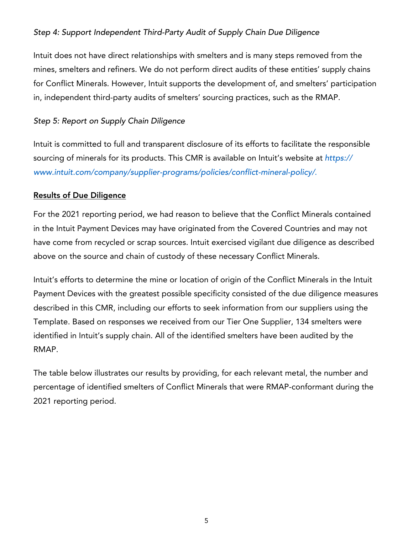#### *Step 4: Support Independent Third-Party Audit of Supply Chain Due Diligence*

Intuit does not have direct relationships with smelters and is many steps removed from the mines, smelters and refiners. We do not perform direct audits of these entities' supply chains for Conflict Minerals. However, Intuit supports the development of, and smelters' participation in, independent third-party audits of smelters' sourcing practices, such as the RMAP.

#### *Step 5: Report on Supply Chain Diligence*

Intuit is committed to full and transparent disclosure of its efforts to facilitate the responsible sourcing of minerals for its products. This CMR is available on Intuit's website at *https:// www.intuit.com/company/supplier-programs/policies/conflict-mineral-policy/*.

#### **Results of Due Diligence**

For the 2021 reporting period, we had reason to believe that the Conflict Minerals contained in the Intuit Payment Devices may have originated from the Covered Countries and may not have come from recycled or scrap sources. Intuit exercised vigilant due diligence as described above on the source and chain of custody of these necessary Conflict Minerals.

Intuit's efforts to determine the mine or location of origin of the Conflict Minerals in the Intuit Payment Devices with the greatest possible specificity consisted of the due diligence measures described in this CMR, including our efforts to seek information from our suppliers using the Template. Based on responses we received from our Tier One Supplier, 134 smelters were identified in Intuit's supply chain. All of the identified smelters have been audited by the RMAP.

The table below illustrates our results by providing, for each relevant metal, the number and percentage of identified smelters of Conflict Minerals that were RMAP-conformant during the 2021 reporting period.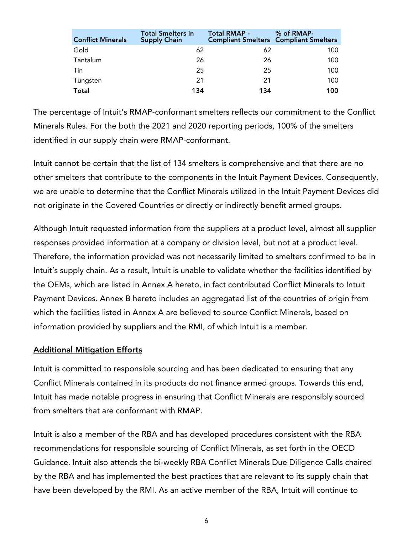| <b>Conflict Minerals</b> | <b>Total Smelters in</b><br><b>Supply Chain</b> | <b>Total RMAP -</b> | % of RMAP-<br><b>Compliant Smelters Compliant Smelters</b> |
|--------------------------|-------------------------------------------------|---------------------|------------------------------------------------------------|
| Gold                     | 62                                              | 62                  | 100                                                        |
| Tantalum                 | 26                                              | 26                  | 100                                                        |
| Tin                      | 25                                              | 25                  | 100                                                        |
| Tungsten                 | 21                                              | 21                  | 100                                                        |
| Total                    | 134                                             | 134                 | 100                                                        |

The percentage of Intuit's RMAP-conformant smelters reflects our commitment to the Conflict Minerals Rules. For the both the 2021 and 2020 reporting periods, 100% of the smelters identified in our supply chain were RMAP-conformant.

Intuit cannot be certain that the list of 134 smelters is comprehensive and that there are no other smelters that contribute to the components in the Intuit Payment Devices. Consequently, we are unable to determine that the Conflict Minerals utilized in the Intuit Payment Devices did not originate in the Covered Countries or directly or indirectly benefit armed groups.

Although Intuit requested information from the suppliers at a product level, almost all supplier responses provided information at a company or division level, but not at a product level. Therefore, the information provided was not necessarily limited to smelters confirmed to be in Intuit's supply chain. As a result, Intuit is unable to validate whether the facilities identified by the OEMs, which are listed in Annex A hereto, in fact contributed Conflict Minerals to Intuit Payment Devices. Annex B hereto includes an aggregated list of the countries of origin from which the facilities listed in Annex A are believed to source Conflict Minerals, based on information provided by suppliers and the RMI, of which Intuit is a member.

#### **Additional Mitigation Efforts**

Intuit is committed to responsible sourcing and has been dedicated to ensuring that any Conflict Minerals contained in its products do not finance armed groups. Towards this end, Intuit has made notable progress in ensuring that Conflict Minerals are responsibly sourced from smelters that are conformant with RMAP.

Intuit is also a member of the RBA and has developed procedures consistent with the RBA recommendations for responsible sourcing of Conflict Minerals, as set forth in the OECD Guidance. Intuit also attends the bi-weekly RBA Conflict Minerals Due Diligence Calls chaired by the RBA and has implemented the best practices that are relevant to its supply chain that have been developed by the RMI. As an active member of the RBA, Intuit will continue to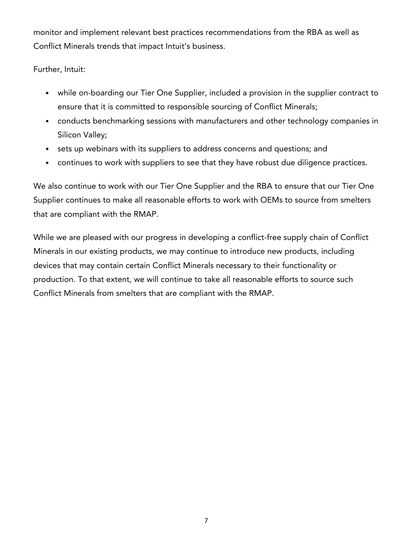monitor and implement relevant best practices recommendations from the RBA as well as Conflict Minerals trends that impact Intuit's business.

Further, Intuit:

- while on-boarding our Tier One Supplier, included a provision in the supplier contract to ensure that it is committed to responsible sourcing of Conflict Minerals;
- conducts benchmarking sessions with manufacturers and other technology companies in Silicon Valley;
- sets up webinars with its suppliers to address concerns and questions; and
- continues to work with suppliers to see that they have robust due diligence practices.

We also continue to work with our Tier One Supplier and the RBA to ensure that our Tier One Supplier continues to make all reasonable efforts to work with OEMs to source from smelters that are compliant with the RMAP.

While we are pleased with our progress in developing a conflict-free supply chain of Conflict Minerals in our existing products, we may continue to introduce new products, including devices that may contain certain Conflict Minerals necessary to their functionality or production. To that extent, we will continue to take all reasonable efforts to source such Conflict Minerals from smelters that are compliant with the RMAP.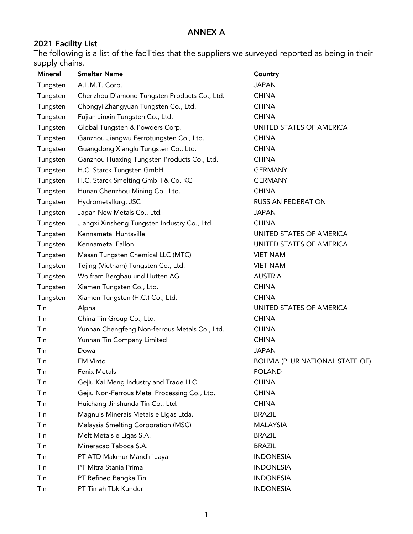#### **2021 Facility List**

The following is a list of the facilities that the suppliers we surveyed reported as being in their supply chains.

| <b>Mineral</b> | <b>Smelter Name</b>                           | Country                                 |
|----------------|-----------------------------------------------|-----------------------------------------|
| Tungsten       | A.L.M.T. Corp.                                | <b>JAPAN</b>                            |
| Tungsten       | Chenzhou Diamond Tungsten Products Co., Ltd.  | <b>CHINA</b>                            |
| Tungsten       | Chongyi Zhangyuan Tungsten Co., Ltd.          | <b>CHINA</b>                            |
| Tungsten       | Fujian Jinxin Tungsten Co., Ltd.              | <b>CHINA</b>                            |
| Tungsten       | Global Tungsten & Powders Corp.               | UNITED STATES OF AMERICA                |
| Tungsten       | Ganzhou Jiangwu Ferrotungsten Co., Ltd.       | <b>CHINA</b>                            |
| Tungsten       | Guangdong Xianglu Tungsten Co., Ltd.          | <b>CHINA</b>                            |
| Tungsten       | Ganzhou Huaxing Tungsten Products Co., Ltd.   | <b>CHINA</b>                            |
| Tungsten       | H.C. Starck Tungsten GmbH                     | <b>GERMANY</b>                          |
| Tungsten       | H.C. Starck Smelting GmbH & Co. KG            | <b>GERMANY</b>                          |
| Tungsten       | Hunan Chenzhou Mining Co., Ltd.               | <b>CHINA</b>                            |
| Tungsten       | Hydrometallurg, JSC                           | <b>RUSSIAN FEDERATION</b>               |
| Tungsten       | Japan New Metals Co., Ltd.                    | <b>JAPAN</b>                            |
| Tungsten       | Jiangxi Xinsheng Tungsten Industry Co., Ltd.  | <b>CHINA</b>                            |
| Tungsten       | Kennametal Huntsville                         | UNITED STATES OF AMERICA                |
| Tungsten       | Kennametal Fallon                             | UNITED STATES OF AMERICA                |
| Tungsten       | Masan Tungsten Chemical LLC (MTC)             | <b>VIET NAM</b>                         |
| Tungsten       | Tejing (Vietnam) Tungsten Co., Ltd.           | <b>VIET NAM</b>                         |
| Tungsten       | Wolfram Bergbau und Hutten AG                 | <b>AUSTRIA</b>                          |
| Tungsten       | Xiamen Tungsten Co., Ltd.                     | <b>CHINA</b>                            |
| Tungsten       | Xiamen Tungsten (H.C.) Co., Ltd.              | <b>CHINA</b>                            |
| Tin            | Alpha                                         | UNITED STATES OF AMERICA                |
| Tin            | China Tin Group Co., Ltd.                     | <b>CHINA</b>                            |
| Tin            | Yunnan Chengfeng Non-ferrous Metals Co., Ltd. | <b>CHINA</b>                            |
| Tin            | Yunnan Tin Company Limited                    | <b>CHINA</b>                            |
| Tin            | Dowa                                          | <b>JAPAN</b>                            |
| Tin            | <b>EM Vinto</b>                               | <b>BOLIVIA (PLURINATIONAL STATE OF)</b> |
| Tin            | Fenix Metals                                  | <b>POLAND</b>                           |
| Tin            | Gejiu Kai Meng Industry and Trade LLC         | <b>CHINA</b>                            |
| Tin            | Gejiu Non-Ferrous Metal Processing Co., Ltd.  | <b>CHINA</b>                            |
| Tin            | Huichang Jinshunda Tin Co., Ltd.              | <b>CHINA</b>                            |
| Tin            | Magnu's Minerais Metais e Ligas Ltda.         | <b>BRAZIL</b>                           |
| Tin            | Malaysia Smelting Corporation (MSC)           | <b>MALAYSIA</b>                         |
| Tin            | Melt Metais e Ligas S.A.                      | <b>BRAZIL</b>                           |
| Tin            | Mineracao Taboca S.A.                         | <b>BRAZIL</b>                           |
| Tin            | PT ATD Makmur Mandiri Jaya                    | <b>INDONESIA</b>                        |
| Tin            | PT Mitra Stania Prima                         | <b>INDONESIA</b>                        |
| Tin            | PT Refined Bangka Tin                         | <b>INDONESIA</b>                        |
| Tin            | PT Timah Tbk Kundur                           | <b>INDONESIA</b>                        |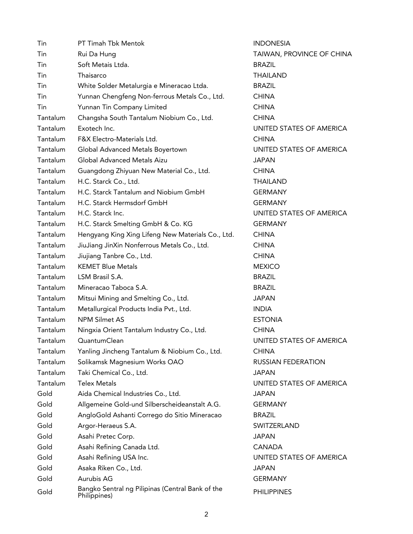| Tin      | PT Timah Tbk Mentok                                              | <b>INDONESIA</b>   |
|----------|------------------------------------------------------------------|--------------------|
| Tin      | Rui Da Hung                                                      | TAIWAN, PR         |
| Tin      | Soft Metais Ltda.                                                | <b>BRAZIL</b>      |
| Tin      | Thaisarco                                                        | <b>THAILAND</b>    |
| Tin      | White Solder Metalurgia e Mineracao Ltda.                        | <b>BRAZIL</b>      |
| Tin      | Yunnan Chengfeng Non-ferrous Metals Co., Ltd.                    | <b>CHINA</b>       |
| Tin      | Yunnan Tin Company Limited                                       | <b>CHINA</b>       |
| Tantalum | Changsha South Tantalum Niobium Co., Ltd.                        | <b>CHINA</b>       |
| Tantalum | Exotech Inc.                                                     | <b>UNITED STAT</b> |
| Tantalum | F&X Electro-Materials Ltd.                                       | <b>CHINA</b>       |
| Tantalum | Global Advanced Metals Boyertown                                 | <b>UNITED STAT</b> |
| Tantalum | Global Advanced Metals Aizu                                      | <b>JAPAN</b>       |
| Tantalum | Guangdong Zhiyuan New Material Co., Ltd.                         | <b>CHINA</b>       |
| Tantalum | H.C. Starck Co., Ltd.                                            | <b>THAILAND</b>    |
| Tantalum | H.C. Starck Tantalum and Niobium GmbH                            | <b>GERMANY</b>     |
| Tantalum | H.C. Starck Hermsdorf GmbH                                       | <b>GERMANY</b>     |
| Tantalum | H.C. Starck Inc.                                                 | <b>UNITED STAT</b> |
| Tantalum | H.C. Starck Smelting GmbH & Co. KG                               | <b>GERMANY</b>     |
| Tantalum | Hengyang King Xing Lifeng New Materials Co., Ltd.                | <b>CHINA</b>       |
| Tantalum | JiuJiang JinXin Nonferrous Metals Co., Ltd.                      | <b>CHINA</b>       |
| Tantalum | Jiujiang Tanbre Co., Ltd.                                        | <b>CHINA</b>       |
| Tantalum | <b>KEMET Blue Metals</b>                                         | <b>MEXICO</b>      |
| Tantalum | LSM Brasil S.A.                                                  | <b>BRAZIL</b>      |
| Tantalum | Mineracao Taboca S.A.                                            | <b>BRAZIL</b>      |
| Tantalum | Mitsui Mining and Smelting Co., Ltd.                             | <b>JAPAN</b>       |
| Tantalum | Metallurgical Products India Pvt., Ltd.                          | <b>INDIA</b>       |
| Tantalum | <b>NPM Silmet AS</b>                                             | <b>ESTONIA</b>     |
| Tantalum | Ningxia Orient Tantalum Industry Co., Ltd.                       | <b>CHINA</b>       |
| Tantalum | QuantumClean                                                     | <b>UNITED STAT</b> |
| Tantalum | Yanling Jincheng Tantalum & Niobium Co., Ltd.                    | <b>CHINA</b>       |
| Tantalum | Solikamsk Magnesium Works OAO                                    | <b>RUSSIAN FED</b> |
| Tantalum | Taki Chemical Co., Ltd.                                          | <b>JAPAN</b>       |
| Tantalum | <b>Telex Metals</b>                                              | <b>UNITED STAT</b> |
| Gold     | Aida Chemical Industries Co., Ltd.                               | <b>JAPAN</b>       |
| Gold     | Allgemeine Gold-und Silberscheideanstalt A.G.                    | <b>GERMANY</b>     |
| Gold     | AngloGold Ashanti Corrego do Sitio Mineracao                     | <b>BRAZIL</b>      |
| Gold     | Argor-Heraeus S.A.                                               | SWITZERLAN         |
| Gold     | Asahi Pretec Corp.                                               | <b>JAPAN</b>       |
| Gold     | Asahi Refining Canada Ltd.                                       | <b>CANADA</b>      |
| Gold     | Asahi Refining USA Inc.                                          | <b>UNITED STAT</b> |
| Gold     | Asaka Riken Co., Ltd.                                            | <b>JAPAN</b>       |
| Gold     | Aurubis AG                                                       | <b>GERMANY</b>     |
| Gold     | Bangko Sentral ng Pilipinas (Central Bank of the<br>Philippines) | <b>PHILIPPINES</b> |

**INDONESIA** TAIWAN, PROVINCE OF CHINA **THAILAND** UNITED STATES OF AMERICA UNITED STATES OF AMERICA **THAILAND** GERMANY **GERMANY** UNITED STATES OF AMERICA GERMANY UNITED STATES OF AMERICA RUSSIAN FEDERATION UNITED STATES OF AMERICA GERMANY SWITZERLAND UNITED STATES OF AMERICA **GERMANY**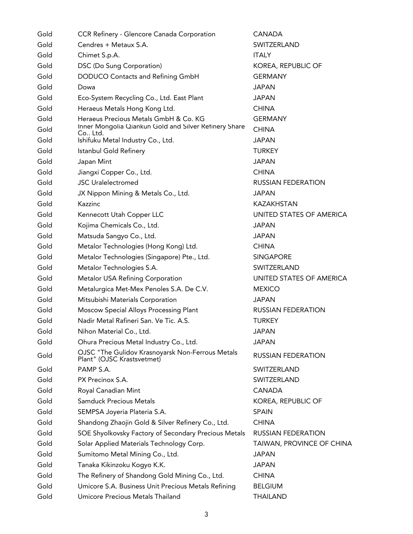| Gold | CCR Refinery - Glencore Canada Corporation                                     | <b>CANADA</b>             |
|------|--------------------------------------------------------------------------------|---------------------------|
| Gold | Cendres + Metaux S.A.                                                          | SWITZERLAND               |
| Gold | Chimet S.p.A.                                                                  | <b>ITALY</b>              |
| Gold | DSC (Do Sung Corporation)                                                      | KOREA, REPUBLIC OF        |
| Gold | DODUCO Contacts and Refining GmbH                                              | <b>GERMANY</b>            |
| Gold | Dowa                                                                           | <b>JAPAN</b>              |
| Gold | Eco-System Recycling Co., Ltd. East Plant                                      | <b>JAPAN</b>              |
| Gold | Heraeus Metals Hong Kong Ltd.                                                  | <b>CHINA</b>              |
| Gold | Heraeus Precious Metals GmbH & Co. KG                                          | <b>GERMANY</b>            |
| Gold | Inner Mongolia Qiankun Gold and Silver Retinery Share<br>Co., Ltd.             | <b>CHINA</b>              |
| Gold | Ishifuku Metal Industry Co., Ltd.                                              | <b>JAPAN</b>              |
| Gold | Istanbul Gold Refinery                                                         | <b>TURKEY</b>             |
| Gold | Japan Mint                                                                     | <b>JAPAN</b>              |
| Gold | Jiangxi Copper Co., Ltd.                                                       | <b>CHINA</b>              |
| Gold | <b>JSC Uralelectromed</b>                                                      | <b>RUSSIAN FEDERATION</b> |
| Gold | JX Nippon Mining & Metals Co., Ltd.                                            | <b>JAPAN</b>              |
| Gold | Kazzinc                                                                        | KAZAKHSTAN                |
| Gold | Kennecott Utah Copper LLC                                                      | UNITED STATES OF AMERICA  |
| Gold | Kojima Chemicals Co., Ltd.                                                     | <b>JAPAN</b>              |
| Gold | Matsuda Sangyo Co., Ltd.                                                       | <b>JAPAN</b>              |
| Gold | Metalor Technologies (Hong Kong) Ltd.                                          | <b>CHINA</b>              |
| Gold | Metalor Technologies (Singapore) Pte., Ltd.                                    | <b>SINGAPORE</b>          |
| Gold | Metalor Technologies S.A.                                                      | SWITZERLAND               |
| Gold | Metalor USA Refining Corporation                                               | UNITED STATES OF AMERICA  |
| Gold | Metalurgica Met-Mex Penoles S.A. De C.V.                                       | <b>MEXICO</b>             |
| Gold | Mitsubishi Materials Corporation                                               | <b>JAPAN</b>              |
| Gold | Moscow Special Alloys Processing Plant                                         | <b>RUSSIAN FEDERATION</b> |
| Gold | Nadir Metal Rafineri San. Ve Tic. A.S.                                         | <b>TURKEY</b>             |
| Gold | Nihon Material Co., Ltd.                                                       | JAPAN                     |
| Gold | Ohura Precious Metal Industry Co., Ltd.                                        | <b>JAPAN</b>              |
| Gold | OJSC "The Gulidov Krasnoyarsk Non-Ferrous Metals<br>Plant" (OJSC Krastsvetmet) | <b>RUSSIAN FEDERATION</b> |
| Gold | PAMP S.A.                                                                      | SWITZERLAND               |
| Gold | PX Precinox S.A.                                                               | SWITZERLAND               |
| Gold | Royal Canadian Mint                                                            | <b>CANADA</b>             |
| Gold | <b>Samduck Precious Metals</b>                                                 | KOREA, REPUBLIC OF        |
| Gold | SEMPSA Joyeria Plateria S.A.                                                   | <b>SPAIN</b>              |
| Gold | Shandong Zhaojin Gold & Silver Refinery Co., Ltd.                              | <b>CHINA</b>              |
| Gold | SOE Shyolkovsky Factory of Secondary Precious Metals                           | <b>RUSSIAN FEDERATION</b> |
| Gold | Solar Applied Materials Technology Corp.                                       | TAIWAN, PROVINCE OF CHINA |
| Gold | Sumitomo Metal Mining Co., Ltd.                                                | <b>JAPAN</b>              |
| Gold | Tanaka Kikinzoku Kogyo K.K.                                                    | <b>JAPAN</b>              |
| Gold | The Refinery of Shandong Gold Mining Co., Ltd.                                 | <b>CHINA</b>              |
| Gold | Umicore S.A. Business Unit Precious Metals Refining                            | <b>BELGIUM</b>            |
| Gold | Umicore Precious Metals Thailand                                               | <b>THAILAND</b>           |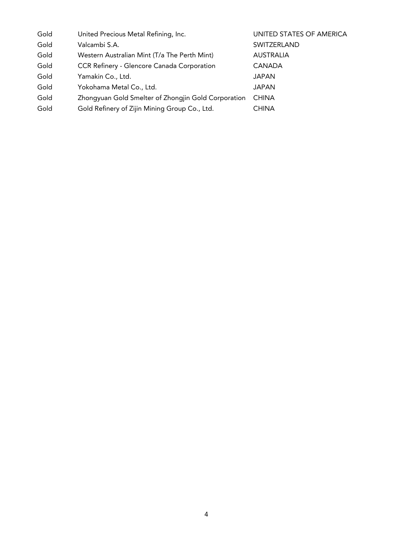| Gold | United Precious Metal Refining, Inc.                | UNITED STATES OF AMERICA |
|------|-----------------------------------------------------|--------------------------|
| Gold | Valcambi S.A.                                       | SWITZERLAND              |
| Gold | Western Australian Mint (T/a The Perth Mint)        | <b>AUSTRALIA</b>         |
| Gold | <b>CCR Refinery - Glencore Canada Corporation</b>   | <b>CANADA</b>            |
| Gold | Yamakin Co., Ltd.                                   | JAPAN                    |
| Gold | Yokohama Metal Co., Ltd.                            | <b>JAPAN</b>             |
| Gold | Zhongyuan Gold Smelter of Zhongjin Gold Corporation | <b>CHINA</b>             |
| Gold | Gold Refinery of Zijin Mining Group Co., Ltd.       | CHINA                    |